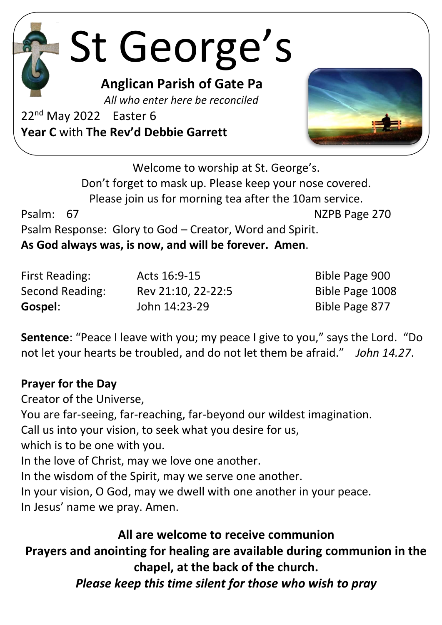# St George's

**Anglican Parish of Gate Pa**

 *All who enter here be reconciled*

22<sup>nd</sup> May 2022 Easter 6 **Year C** with **The Rev'd Debbie Garrett**



Welcome to worship at St. George's. Don't forget to mask up. Please keep your nose covered. Please join us for morning tea after the 10am service. Psalm: 67 NZPB Page 270 Psalm Response: Glory to God – Creator, Word and Spirit. **As God always was, is now, and will be forever. Amen**.

First Reading: Acts 16:9-15 Bible Page 900 Second Reading: Rev 21:10, 22-22:5 Bible Page 1008 **Gospel:** John 14:23-29 Bible Page 877

**Sentence**: "Peace I leave with you; my peace I give to you," says the Lord. "Do not let your hearts be troubled, and do not let them be afraid." *John 14.27*.

### **Prayer for the Day**

Creator of the Universe,

You are far-seeing, far-reaching, far-beyond our wildest imagination. Call us into your vision, to seek what you desire for us, which is to be one with you. In the love of Christ, may we love one another. In the wisdom of the Spirit, may we serve one another. In your vision, O God, may we dwell with one another in your peace. In Jesus' name we pray. Amen.

# **All are welcome to receive communion**

**Prayers and anointing for healing are available during communion in the chapel, at the back of the church.**

*Please keep this time silent for those who wish to pray*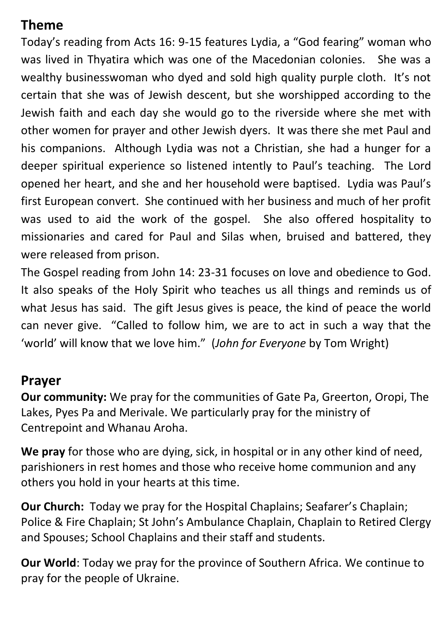# **Theme**

Today's reading from Acts 16: 9-15 features Lydia, a "God fearing" woman who was lived in Thyatira which was one of the Macedonian colonies. She was a wealthy businesswoman who dyed and sold high quality purple cloth. It's not certain that she was of Jewish descent, but she worshipped according to the Jewish faith and each day she would go to the riverside where she met with other women for prayer and other Jewish dyers. It was there she met Paul and his companions. Although Lydia was not a Christian, she had a hunger for a deeper spiritual experience so listened intently to Paul's teaching. The Lord opened her heart, and she and her household were baptised. Lydia was Paul's first European convert. She continued with her business and much of her profit was used to aid the work of the gospel. She also offered hospitality to missionaries and cared for Paul and Silas when, bruised and battered, they were released from prison.

The Gospel reading from John 14: 23-31 focuses on love and obedience to God. It also speaks of the Holy Spirit who teaches us all things and reminds us of what Jesus has said. The gift Jesus gives is peace, the kind of peace the world can never give. "Called to follow him, we are to act in such a way that the 'world' will know that we love him." (*John for Everyone* by Tom Wright)

### **Prayer**

**Our community:** We pray for the communities of Gate Pa, Greerton, Oropi, The Lakes, Pyes Pa and Merivale. We particularly pray for the ministry of Centrepoint and Whanau Aroha.

**We pray** for those who are dying, sick, in hospital or in any other kind of need, parishioners in rest homes and those who receive home communion and any others you hold in your hearts at this time.

**Our Church:** Today we pray for the Hospital Chaplains; Seafarer's Chaplain; Police & Fire Chaplain; St John's Ambulance Chaplain, Chaplain to Retired Clergy and Spouses; School Chaplains and their staff and students.

**Our World**: Today we pray for the province of Southern Africa. We continue to pray for the people of Ukraine.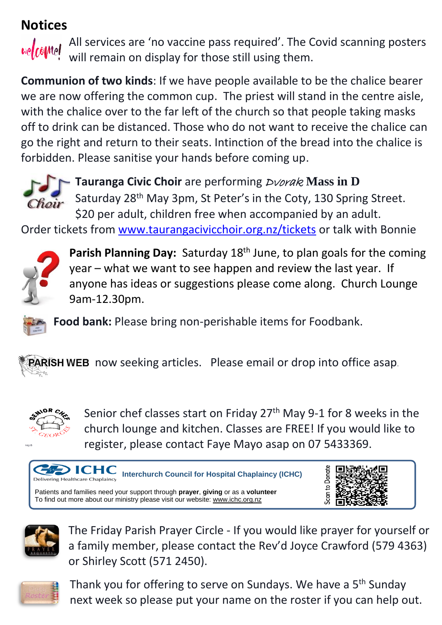# **Notices**



All services are 'no vaccine pass required'. The Covid scanning posters will remain on display for those still using them.

**Communion of two kinds**: If we have people available to be the chalice bearer we are now offering the common cup. The priest will stand in the centre aisle, with the chalice over to the far left of the church so that people taking masks off to drink can be distanced. Those who do not want to receive the chalice can go the right and return to their seats. Intinction of the bread into the chalice is forbidden. Please sanitise your hands before coming up.



**Tauranga Civic Choir** are performing Dvorak **Mass in D** Saturday 28<sup>th</sup> May 3pm, St Peter's in the Coty, 130 Spring Street. \$20 per adult, children free when accompanied by an adult.

Order tickets from [www.taurangacivicchoir.org.nz/tickets](http://www.taurangacivicchoir.org.nz/tickets) or talk with Bonnie



Parish Planning Day: Saturday 18<sup>th</sup> June, to plan goals for the coming year – what we want to see happen and review the last year. If anyone has ideas or suggestions please come along. Church Lounge 9am-12.30pm.

**Food bank:** Please bring non-perishable items for Foodbank.

**PARISH WEB** now seeking articles. Please email or drop into office asap.



Senior chef classes start on Friday 27<sup>th</sup> May 9-1 for 8 weeks in the church lounge and kitchen. Classes are FREE! If you would like to register, please contact Faye Mayo asap on 07 5433369.







The Friday Parish Prayer Circle - If you would like prayer for yourself or a family member, please contact the Rev'd Joyce Crawford (579 4363) or Shirley Scott (571 2450).



Thank you for offering to serve on Sundays. We have a 5<sup>th</sup> Sunday next week so please put your name on the roster if you can help out.